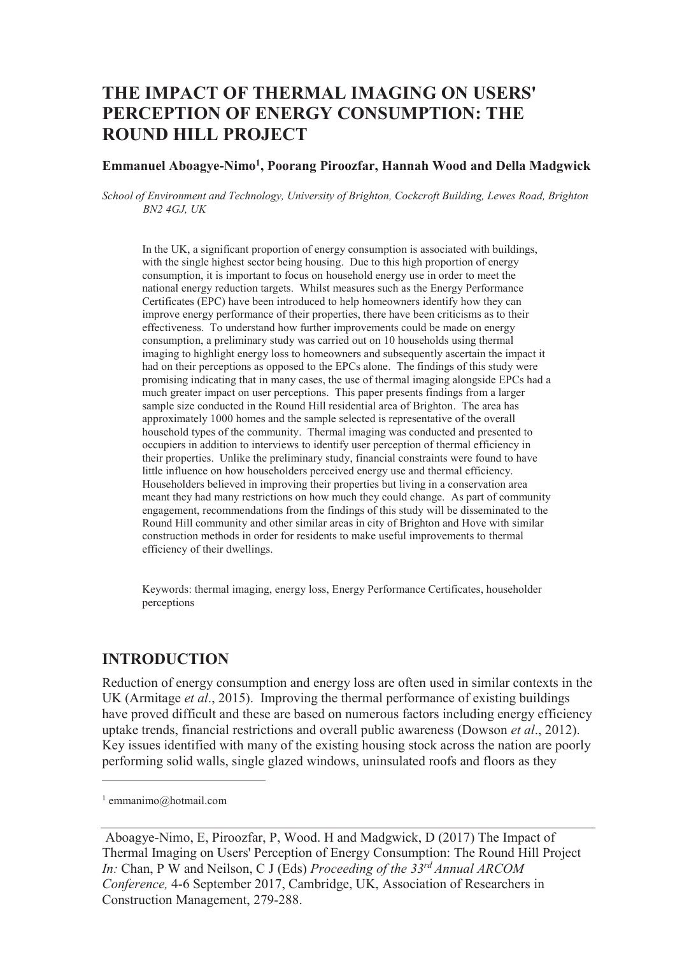# **THE IMPACT OF THERMAL IMAGING ON USERS' PERCEPTION OF ENERGY CONSUMPTION: THE ROUND HILL PROJECT**

#### **Emmanuel Aboagye-Nimo<sup>1</sup> , Poorang Piroozfar, Hannah Wood and Della Madgwick**

*School of Environment and Technology, University of Brighton, Cockcroft Building, Lewes Road, Brighton BN2 4GJ, UK* 

In the UK, a significant proportion of energy consumption is associated with buildings, with the single highest sector being housing. Due to this high proportion of energy consumption, it is important to focus on household energy use in order to meet the national energy reduction targets. Whilst measures such as the Energy Performance Certificates (EPC) have been introduced to help homeowners identify how they can improve energy performance of their properties, there have been criticisms as to their effectiveness. To understand how further improvements could be made on energy consumption, a preliminary study was carried out on 10 households using thermal imaging to highlight energy loss to homeowners and subsequently ascertain the impact it had on their perceptions as opposed to the EPCs alone. The findings of this study were promising indicating that in many cases, the use of thermal imaging alongside EPCs had a much greater impact on user perceptions. This paper presents findings from a larger sample size conducted in the Round Hill residential area of Brighton. The area has approximately 1000 homes and the sample selected is representative of the overall household types of the community. Thermal imaging was conducted and presented to occupiers in addition to interviews to identify user perception of thermal efficiency in their properties. Unlike the preliminary study, financial constraints were found to have little influence on how householders perceived energy use and thermal efficiency. Householders believed in improving their properties but living in a conservation area meant they had many restrictions on how much they could change. As part of community engagement, recommendations from the findings of this study will be disseminated to the Round Hill community and other similar areas in city of Brighton and Hove with similar construction methods in order for residents to make useful improvements to thermal efficiency of their dwellings.

Keywords: thermal imaging, energy loss, Energy Performance Certificates, householder perceptions

#### **INTRODUCTION**

Reduction of energy consumption and energy loss are often used in similar contexts in the UK (Armitage *et al*., 2015). Improving the thermal performance of existing buildings have proved difficult and these are based on numerous factors including energy efficiency uptake trends, financial restrictions and overall public awareness (Dowson *et al*., 2012). Key issues identified with many of the existing housing stock across the nation are poorly performing solid walls, single glazed windows, uninsulated roofs and floors as they

 $\overline{a}$ 

<sup>1</sup> emmanimo@hotmail.com

Aboagye-Nimo, E, Piroozfar, P, Wood. H and Madgwick, D (2017) The Impact of Thermal Imaging on Users' Perception of Energy Consumption: The Round Hill Project *In:* Chan, P W and Neilson, C J (Eds) *Proceeding of the 33rd Annual ARCOM Conference,* 4-6 September 2017, Cambridge, UK, Association of Researchers in Construction Management, 279-288.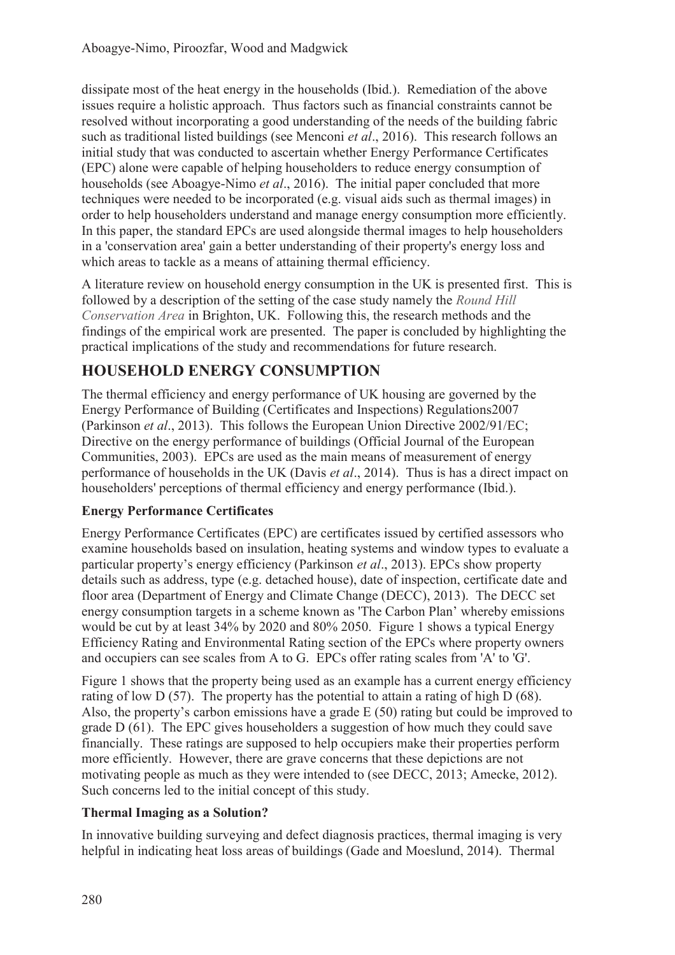dissipate most of the heat energy in the households (Ibid.). Remediation of the above issues require a holistic approach. Thus factors such as financial constraints cannot be resolved without incorporating a good understanding of the needs of the building fabric such as traditional listed buildings (see Menconi *et al*., 2016). This research follows an initial study that was conducted to ascertain whether Energy Performance Certificates (EPC) alone were capable of helping householders to reduce energy consumption of households (see Aboagye-Nimo *et al*., 2016). The initial paper concluded that more techniques were needed to be incorporated (e.g. visual aids such as thermal images) in order to help householders understand and manage energy consumption more efficiently. In this paper, the standard EPCs are used alongside thermal images to help householders in a 'conservation area' gain a better understanding of their property's energy loss and which areas to tackle as a means of attaining thermal efficiency.

A literature review on household energy consumption in the UK is presented first. This is followed by a description of the setting of the case study namely the *Round Hill Conservation Area* in Brighton, UK. Following this, the research methods and the findings of the empirical work are presented. The paper is concluded by highlighting the practical implications of the study and recommendations for future research.

# **HOUSEHOLD ENERGY CONSUMPTION**

The thermal efficiency and energy performance of UK housing are governed by the Energy Performance of Building (Certificates and Inspections) Regulations2007 (Parkinson *et al*., 2013). This follows the European Union Directive 2002/91/EC; Directive on the energy performance of buildings (Official Journal of the European Communities, 2003). EPCs are used as the main means of measurement of energy performance of households in the UK (Davis *et al*., 2014). Thus is has a direct impact on householders' perceptions of thermal efficiency and energy performance (Ibid.).

## **Energy Performance Certificates**

Energy Performance Certificates (EPC) are certificates issued by certified assessors who examine households based on insulation, heating systems and window types to evaluate a particular property's energy efficiency (Parkinson *et al*., 2013). EPCs show property details such as address, type (e.g. detached house), date of inspection, certificate date and floor area (Department of Energy and Climate Change (DECC), 2013). The DECC set energy consumption targets in a scheme known as 'The Carbon Plan' whereby emissions would be cut by at least 34% by 2020 and 80% 2050. Figure 1 shows a typical Energy Efficiency Rating and Environmental Rating section of the EPCs where property owners and occupiers can see scales from A to G. EPCs offer rating scales from 'A' to 'G'.

Figure 1 shows that the property being used as an example has a current energy efficiency rating of low D (57). The property has the potential to attain a rating of high D (68). Also, the property's carbon emissions have a grade E (50) rating but could be improved to grade D (61). The EPC gives householders a suggestion of how much they could save financially. These ratings are supposed to help occupiers make their properties perform more efficiently. However, there are grave concerns that these depictions are not motivating people as much as they were intended to (see DECC, 2013; Amecke, 2012). Such concerns led to the initial concept of this study.

#### **Thermal Imaging as a Solution?**

In innovative building surveying and defect diagnosis practices, thermal imaging is very helpful in indicating heat loss areas of buildings (Gade and Moeslund, 2014). Thermal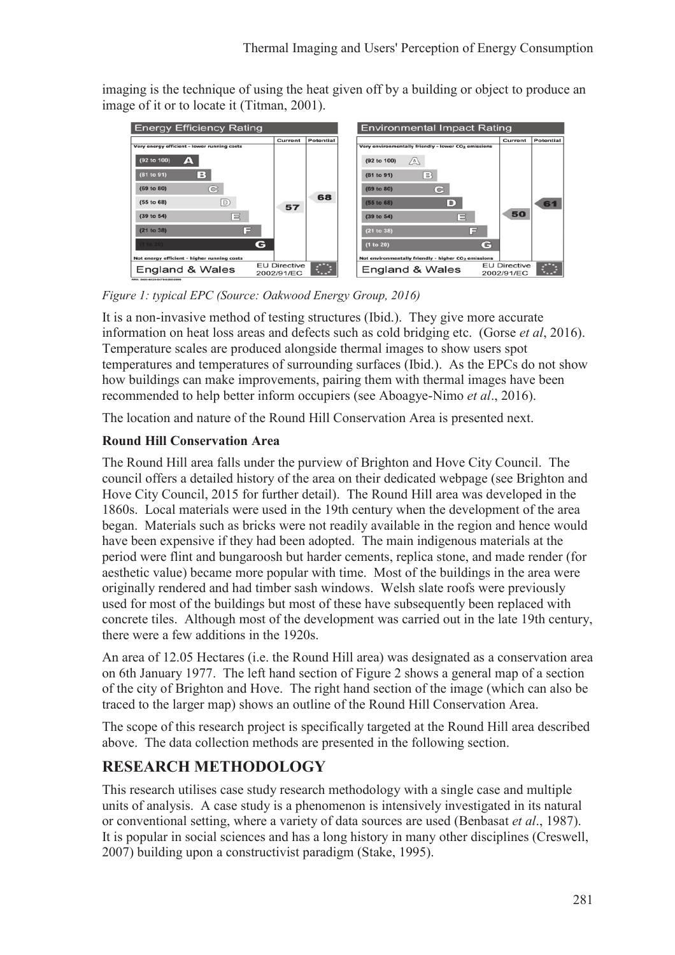imaging is the technique of using the heat given off by a building or object to produce an image of it or to locate it (Titman, 2001).



*Figure 1: typical EPC (Source: Oakwood Energy Group, 2016)* 

It is a non-invasive method of testing structures (Ibid.). They give more accurate information on heat loss areas and defects such as cold bridging etc. (Gorse *et al*, 2016). Temperature scales are produced alongside thermal images to show users spot temperatures and temperatures of surrounding surfaces (Ibid.). As the EPCs do not show how buildings can make improvements, pairing them with thermal images have been recommended to help better inform occupiers (see Aboagye-Nimo *et al*., 2016).

The location and nature of the Round Hill Conservation Area is presented next.

## **Round Hill Conservation Area**

The Round Hill area falls under the purview of Brighton and Hove City Council. The council offers a detailed history of the area on their dedicated webpage (see Brighton and Hove City Council, 2015 for further detail). The Round Hill area was developed in the 1860s. Local materials were used in the 19th century when the development of the area began. Materials such as bricks were not readily available in the region and hence would have been expensive if they had been adopted. The main indigenous materials at the period were flint and bungaroosh but harder cements, replica stone, and made render (for aesthetic value) became more popular with time. Most of the buildings in the area were originally rendered and had timber sash windows. Welsh slate roofs were previously used for most of the buildings but most of these have subsequently been replaced with concrete tiles. Although most of the development was carried out in the late 19th century, there were a few additions in the 1920s.

An area of 12.05 Hectares (i.e. the Round Hill area) was designated as a conservation area on 6th January 1977. The left hand section of Figure 2 shows a general map of a section of the city of Brighton and Hove. The right hand section of the image (which can also be traced to the larger map) shows an outline of the Round Hill Conservation Area.

The scope of this research project is specifically targeted at the Round Hill area described above. The data collection methods are presented in the following section.

# **RESEARCH METHODOLOGY**

This research utilises case study research methodology with a single case and multiple units of analysis. A case study is a phenomenon is intensively investigated in its natural or conventional setting, where a variety of data sources are used (Benbasat *et al*., 1987). It is popular in social sciences and has a long history in many other disciplines (Creswell, 2007) building upon a constructivist paradigm (Stake, 1995).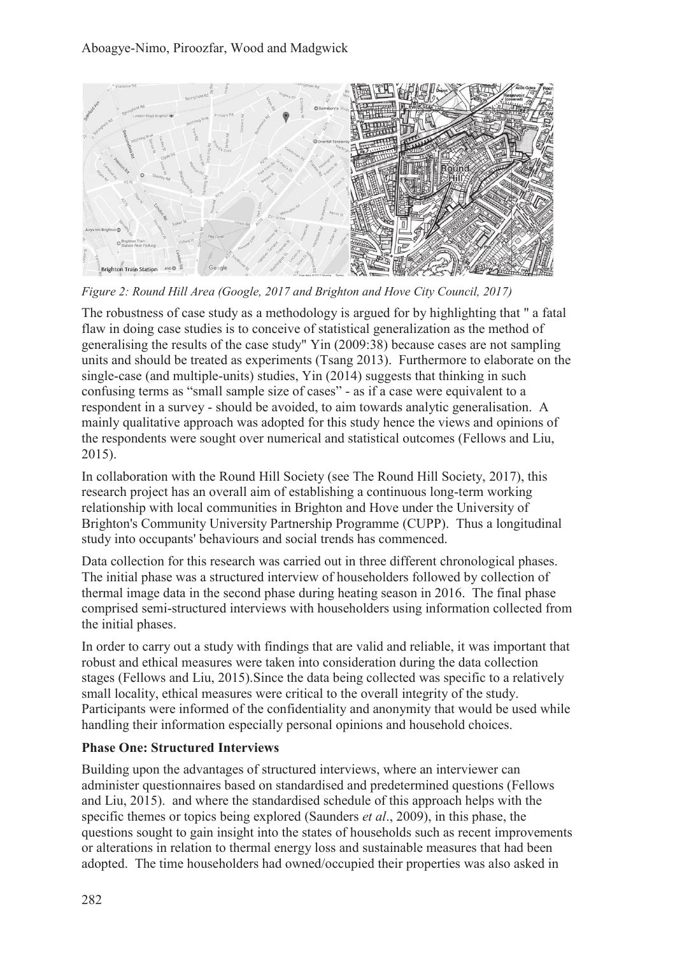

*Figure 2: Round Hill Area (Google, 2017 and Brighton and Hove City Council, 2017)*

The robustness of case study as a methodology is argued for by highlighting that " a fatal flaw in doing case studies is to conceive of statistical generalization as the method of generalising the results of the case study" Yin (2009:38) because cases are not sampling units and should be treated as experiments (Tsang 2013). Furthermore to elaborate on the single-case (and multiple-units) studies, Yin (2014) suggests that thinking in such confusing terms as "small sample size of cases" - as if a case were equivalent to a respondent in a survey - should be avoided, to aim towards analytic generalisation. A mainly qualitative approach was adopted for this study hence the views and opinions of the respondents were sought over numerical and statistical outcomes (Fellows and Liu, 2015).

In collaboration with the Round Hill Society (see The Round Hill Society, 2017), this research project has an overall aim of establishing a continuous long-term working relationship with local communities in Brighton and Hove under the University of Brighton's Community University Partnership Programme (CUPP). Thus a longitudinal study into occupants' behaviours and social trends has commenced.

Data collection for this research was carried out in three different chronological phases. The initial phase was a structured interview of householders followed by collection of thermal image data in the second phase during heating season in 2016. The final phase comprised semi-structured interviews with householders using information collected from the initial phases.

In order to carry out a study with findings that are valid and reliable, it was important that robust and ethical measures were taken into consideration during the data collection stages (Fellows and Liu, 2015).Since the data being collected was specific to a relatively small locality, ethical measures were critical to the overall integrity of the study. Participants were informed of the confidentiality and anonymity that would be used while handling their information especially personal opinions and household choices.

## **Phase One: Structured Interviews**

Building upon the advantages of structured interviews, where an interviewer can administer questionnaires based on standardised and predetermined questions (Fellows and Liu, 2015). and where the standardised schedule of this approach helps with the specific themes or topics being explored (Saunders *et al*., 2009), in this phase, the questions sought to gain insight into the states of households such as recent improvements or alterations in relation to thermal energy loss and sustainable measures that had been adopted. The time householders had owned/occupied their properties was also asked in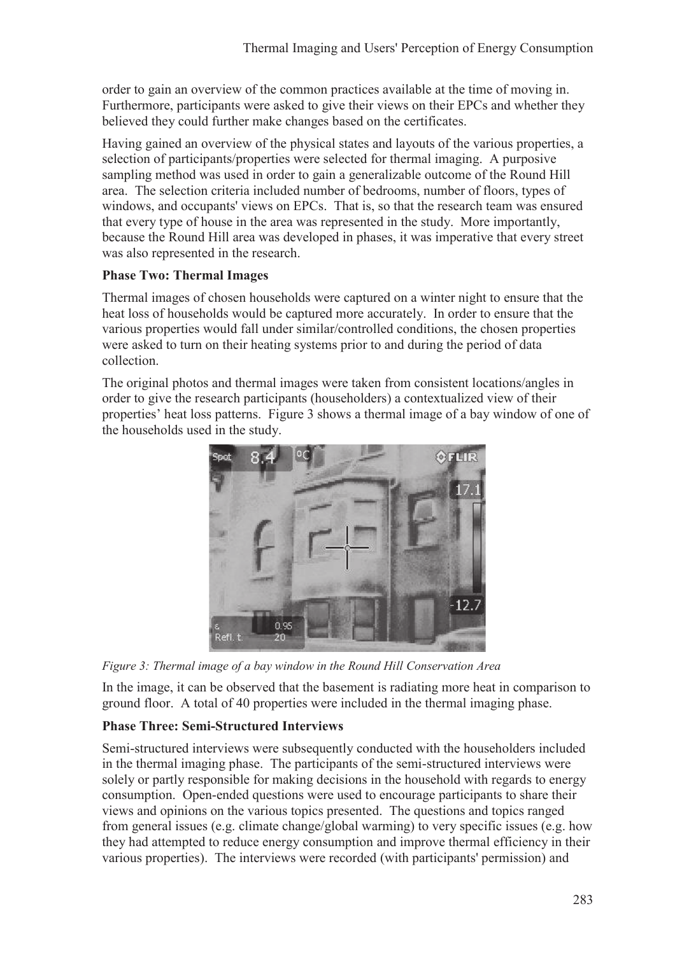order to gain an overview of the common practices available at the time of moving in. Furthermore, participants were asked to give their views on their EPCs and whether they believed they could further make changes based on the certificates.

Having gained an overview of the physical states and layouts of the various properties, a selection of participants/properties were selected for thermal imaging. A purposive sampling method was used in order to gain a generalizable outcome of the Round Hill area. The selection criteria included number of bedrooms, number of floors, types of windows, and occupants' views on EPCs. That is, so that the research team was ensured that every type of house in the area was represented in the study. More importantly, because the Round Hill area was developed in phases, it was imperative that every street was also represented in the research.

#### **Phase Two: Thermal Images**

Thermal images of chosen households were captured on a winter night to ensure that the heat loss of households would be captured more accurately. In order to ensure that the various properties would fall under similar/controlled conditions, the chosen properties were asked to turn on their heating systems prior to and during the period of data collection.

The original photos and thermal images were taken from consistent locations/angles in order to give the research participants (householders) a contextualized view of their properties' heat loss patterns. Figure 3 shows a thermal image of a bay window of one of the households used in the study.



*Figure 3: Thermal image of a bay window in the Round Hill Conservation Area* 

In the image, it can be observed that the basement is radiating more heat in comparison to ground floor. A total of 40 properties were included in the thermal imaging phase.

## **Phase Three: Semi-Structured Interviews**

Semi-structured interviews were subsequently conducted with the householders included in the thermal imaging phase. The participants of the semi-structured interviews were solely or partly responsible for making decisions in the household with regards to energy consumption. Open-ended questions were used to encourage participants to share their views and opinions on the various topics presented. The questions and topics ranged from general issues (e.g. climate change/global warming) to very specific issues (e.g. how they had attempted to reduce energy consumption and improve thermal efficiency in their various properties). The interviews were recorded (with participants' permission) and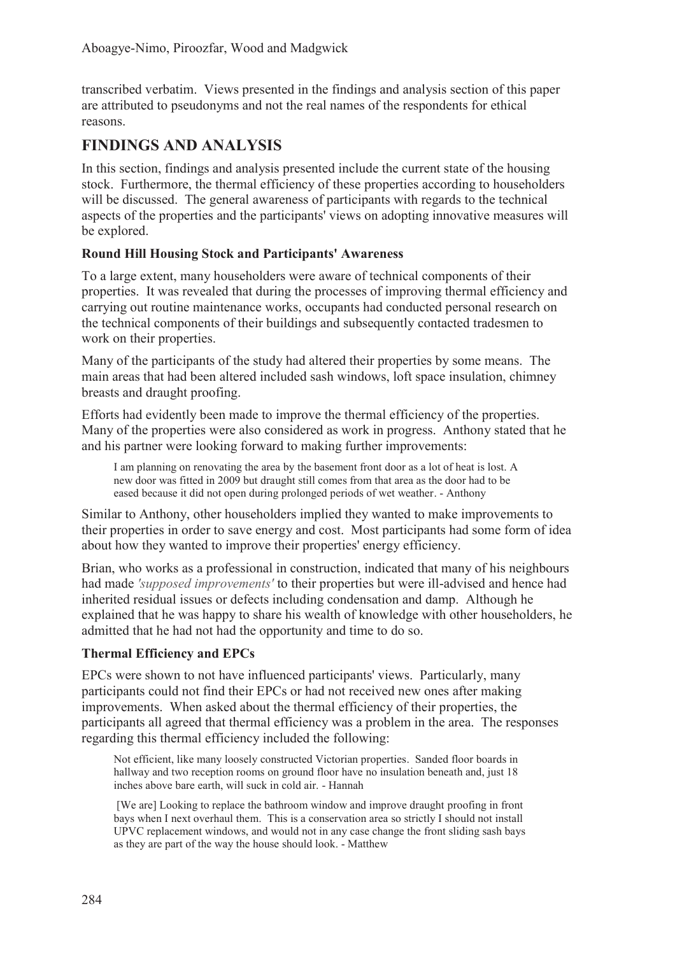transcribed verbatim. Views presented in the findings and analysis section of this paper are attributed to pseudonyms and not the real names of the respondents for ethical reasons.

# **FINDINGS AND ANALYSIS**

In this section, findings and analysis presented include the current state of the housing stock. Furthermore, the thermal efficiency of these properties according to householders will be discussed. The general awareness of participants with regards to the technical aspects of the properties and the participants' views on adopting innovative measures will be explored.

### **Round Hill Housing Stock and Participants' Awareness**

To a large extent, many householders were aware of technical components of their properties. It was revealed that during the processes of improving thermal efficiency and carrying out routine maintenance works, occupants had conducted personal research on the technical components of their buildings and subsequently contacted tradesmen to work on their properties.

Many of the participants of the study had altered their properties by some means. The main areas that had been altered included sash windows, loft space insulation, chimney breasts and draught proofing.

Efforts had evidently been made to improve the thermal efficiency of the properties. Many of the properties were also considered as work in progress. Anthony stated that he and his partner were looking forward to making further improvements:

I am planning on renovating the area by the basement front door as a lot of heat is lost. A new door was fitted in 2009 but draught still comes from that area as the door had to be eased because it did not open during prolonged periods of wet weather. - Anthony

Similar to Anthony, other householders implied they wanted to make improvements to their properties in order to save energy and cost. Most participants had some form of idea about how they wanted to improve their properties' energy efficiency.

Brian, who works as a professional in construction, indicated that many of his neighbours had made *'supposed improvements'* to their properties but were ill-advised and hence had inherited residual issues or defects including condensation and damp. Although he explained that he was happy to share his wealth of knowledge with other householders, he admitted that he had not had the opportunity and time to do so.

## **Thermal Efficiency and EPCs**

EPCs were shown to not have influenced participants' views. Particularly, many participants could not find their EPCs or had not received new ones after making improvements. When asked about the thermal efficiency of their properties, the participants all agreed that thermal efficiency was a problem in the area. The responses regarding this thermal efficiency included the following:

Not efficient, like many loosely constructed Victorian properties. Sanded floor boards in hallway and two reception rooms on ground floor have no insulation beneath and, just 18 inches above bare earth, will suck in cold air. - Hannah

 [We are] Looking to replace the bathroom window and improve draught proofing in front bays when I next overhaul them. This is a conservation area so strictly I should not install UPVC replacement windows, and would not in any case change the front sliding sash bays as they are part of the way the house should look. - Matthew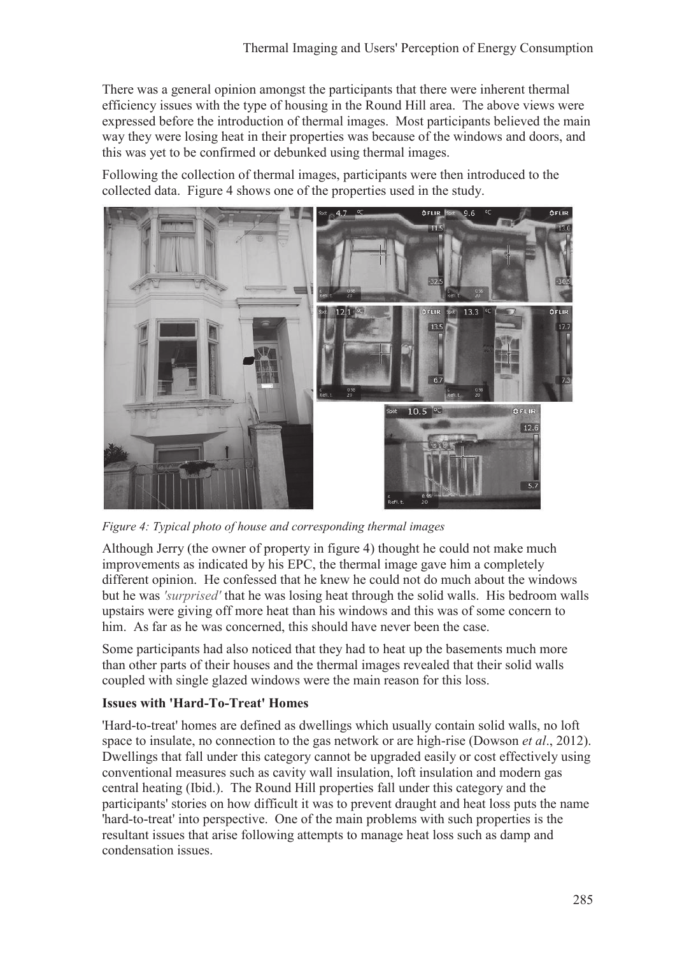There was a general opinion amongst the participants that there were inherent thermal efficiency issues with the type of housing in the Round Hill area. The above views were expressed before the introduction of thermal images. Most participants believed the main way they were losing heat in their properties was because of the windows and doors, and this was yet to be confirmed or debunked using thermal images.

Following the collection of thermal images, participants were then introduced to the collected data. Figure 4 shows one of the properties used in the study.



*Figure 4: Typical photo of house and corresponding thermal images* 

Although Jerry (the owner of property in figure 4) thought he could not make much improvements as indicated by his EPC, the thermal image gave him a completely different opinion. He confessed that he knew he could not do much about the windows but he was *'surprised'* that he was losing heat through the solid walls. His bedroom walls upstairs were giving off more heat than his windows and this was of some concern to him. As far as he was concerned, this should have never been the case.

Some participants had also noticed that they had to heat up the basements much more than other parts of their houses and the thermal images revealed that their solid walls coupled with single glazed windows were the main reason for this loss.

#### **Issues with 'Hard-To-Treat' Homes**

'Hard-to-treat' homes are defined as dwellings which usually contain solid walls, no loft space to insulate, no connection to the gas network or are high-rise (Dowson *et al*., 2012). Dwellings that fall under this category cannot be upgraded easily or cost effectively using conventional measures such as cavity wall insulation, loft insulation and modern gas central heating (Ibid.). The Round Hill properties fall under this category and the participants' stories on how difficult it was to prevent draught and heat loss puts the name 'hard-to-treat' into perspective. One of the main problems with such properties is the resultant issues that arise following attempts to manage heat loss such as damp and condensation issues.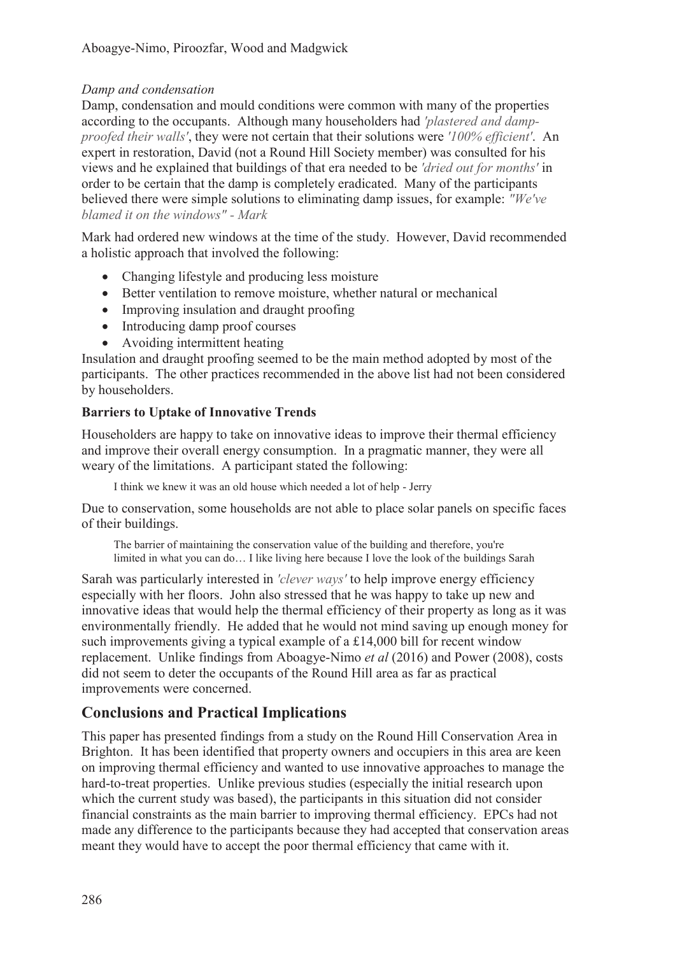#### *Damp and condensation*

Damp, condensation and mould conditions were common with many of the properties according to the occupants. Although many householders had *'plastered and dampproofed their walls'*, they were not certain that their solutions were *'100% efficient'*. An expert in restoration, David (not a Round Hill Society member) was consulted for his views and he explained that buildings of that era needed to be *'dried out for months'* in order to be certain that the damp is completely eradicated. Many of the participants believed there were simple solutions to eliminating damp issues, for example: *"We've blamed it on the windows" - Mark*

Mark had ordered new windows at the time of the study. However, David recommended a holistic approach that involved the following:

- Changing lifestyle and producing less moisture
- Better ventilation to remove moisture, whether natural or mechanical
- Improving insulation and draught proofing
- Introducing damp proof courses
- Avoiding intermittent heating

Insulation and draught proofing seemed to be the main method adopted by most of the participants. The other practices recommended in the above list had not been considered by householders.

### **Barriers to Uptake of Innovative Trends**

Householders are happy to take on innovative ideas to improve their thermal efficiency and improve their overall energy consumption. In a pragmatic manner, they were all weary of the limitations. A participant stated the following:

I think we knew it was an old house which needed a lot of help - Jerry

Due to conservation, some households are not able to place solar panels on specific faces of their buildings.

The barrier of maintaining the conservation value of the building and therefore, you're limited in what you can do… I like living here because I love the look of the buildings Sarah

Sarah was particularly interested in *'clever ways'* to help improve energy efficiency especially with her floors. John also stressed that he was happy to take up new and innovative ideas that would help the thermal efficiency of their property as long as it was environmentally friendly. He added that he would not mind saving up enough money for such improvements giving a typical example of a £14,000 bill for recent window replacement. Unlike findings from Aboagye-Nimo *et al* (2016) and Power (2008), costs did not seem to deter the occupants of the Round Hill area as far as practical improvements were concerned.

# **Conclusions and Practical Implications**

This paper has presented findings from a study on the Round Hill Conservation Area in Brighton. It has been identified that property owners and occupiers in this area are keen on improving thermal efficiency and wanted to use innovative approaches to manage the hard-to-treat properties. Unlike previous studies (especially the initial research upon which the current study was based), the participants in this situation did not consider financial constraints as the main barrier to improving thermal efficiency. EPCs had not made any difference to the participants because they had accepted that conservation areas meant they would have to accept the poor thermal efficiency that came with it.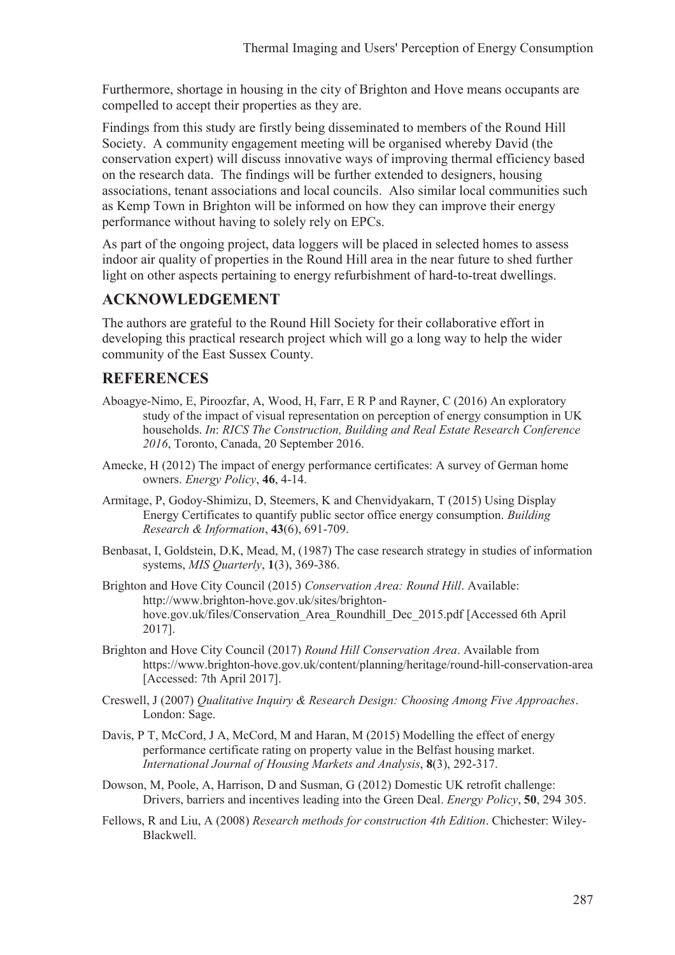Furthermore, shortage in housing in the city of Brighton and Hove means occupants are compelled to accept their properties as they are.

Findings from this study are firstly being disseminated to members of the Round Hill Society. A community engagement meeting will be organised whereby David (the conservation expert) will discuss innovative ways of improving thermal efficiency based on the research data. The findings will be further extended to designers, housing associations, tenant associations and local councils. Also similar local communities such as Kemp Town in Brighton will be informed on how they can improve their energy performance without having to solely rely on EPCs.

As part of the ongoing project, data loggers will be placed in selected homes to assess indoor air quality of properties in the Round Hill area in the near future to shed further light on other aspects pertaining to energy refurbishment of hard-to-treat dwellings.

# **ACKNOWLEDGEMENT**

The authors are grateful to the Round Hill Society for their collaborative effort in developing this practical research project which will go a long way to help the wider community of the East Sussex County.

# **REFERENCES**

- Aboagye-Nimo, E, Piroozfar, A, Wood, H, Farr, E R P and Rayner, C (2016) An exploratory study of the impact of visual representation on perception of energy consumption in UK households. *In*: *RICS The Construction, Building and Real Estate Research Conference 2016*, Toronto, Canada, 20 September 2016.
- Amecke, H (2012) The impact of energy performance certificates: A survey of German home owners. *Energy Policy*, **46**, 4-14.
- Armitage, P, Godoy-Shimizu, D, Steemers, K and Chenvidyakarn, T (2015) Using Display Energy Certificates to quantify public sector office energy consumption. *Building Research & Information*, **43**(6), 691-709.
- Benbasat, I, Goldstein, D.K, Mead, M, (1987) The case research strategy in studies of information systems, *MIS Quarterly*, **1**(3), 369-386.
- Brighton and Hove City Council (2015) *Conservation Area: Round Hill*. Available: http://www.brighton-hove.gov.uk/sites/brightonhove.gov.uk/files/Conservation Area Roundhill Dec 2015.pdf [Accessed 6th April 2017].
- Brighton and Hove City Council (2017) *Round Hill Conservation Area*. Available from https://www.brighton-hove.gov.uk/content/planning/heritage/round-hill-conservation-area [Accessed: 7th April 2017].
- Creswell, J (2007) *Qualitative Inquiry & Research Design: Choosing Among Five Approaches*. London: Sage.
- Davis, P T, McCord, J A, McCord, M and Haran, M (2015) Modelling the effect of energy performance certificate rating on property value in the Belfast housing market. *International Journal of Housing Markets and Analysis*, **8**(3), 292-317.
- Dowson, M, Poole, A, Harrison, D and Susman, G (2012) Domestic UK retrofit challenge: Drivers, barriers and incentives leading into the Green Deal. *Energy Policy*, **50**, 294 305.
- Fellows, R and Liu, A (2008) *Research methods for construction 4th Edition*. Chichester: Wiley-Blackwell.